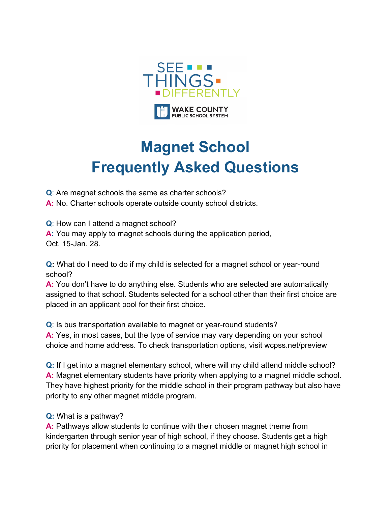

## **Magnet School Frequently Asked Questions**

**Q**: Are magnet schools the same as charter schools?

**A:** No. Charter schools operate outside county school districts.

**Q**: How can I attend a magnet school?

**A:** You may apply to magnet schools during the application period, Oct. 15-Jan. 28.

**Q:** What do I need to do if my child is selected for a magnet school or year-round school?

**A:** You don't have to do anything else. Students who are selected are automatically assigned to that school. Students selected for a school other than their first choice are placed in an applicant pool for their first choice.

**Q**: Is bus transportation available to magnet or year-round students?

**A:** Yes, in most cases, but the type of service may vary depending on your school choice and home address. To check transportation options, visit wcpss.net/preview

**Q:** If I get into a magnet elementary school, where will my child attend middle school? **A:** Magnet elementary students have priority when applying to a magnet middle school. They have highest priority for the middle school in their program pathway but also have priority to any other magnet middle program.

## **Q:** What is a pathway?

**A:** Pathways allow students to continue with their chosen magnet theme from kindergarten through senior year of high school, if they choose. Students get a high priority for placement when continuing to a magnet middle or magnet high school in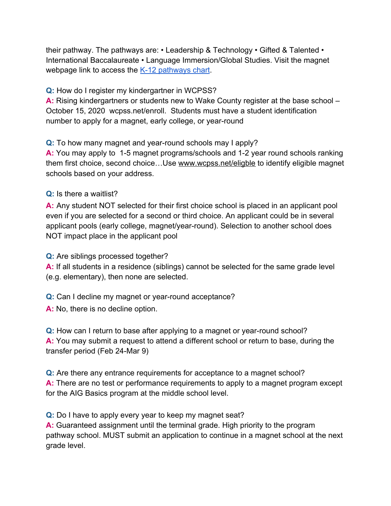their pathway. The pathways are: • Leadership & Technology • Gifted & Talented • International Baccalaureate • Language Immersion/Global Studies. Visit the magnet webpage link to access the [K-12 pathways chart](https://www.wcpss.net/cms/lib/NC01911451/Centricity/Domain/90/20-21%20Magnet%20Pathways.pdf).

**Q:** How do I register my kindergartner in WCPSS?

**A:** Rising kindergartners or students new to Wake County register at the base school – October 15, 2020 wcpss.net/enroll. Students must have a student identification number to apply for a magnet, early college, or year-round

**Q:** To how many magnet and year-round schools may I apply?

**A:** You may apply to 1-5 magnet programs/schools and 1-2 year round schools ranking them first choice, second choice…Use [www.wcpss.net/eligble](http://www.wcpss.net/eligble) to identify eligible magnet schools based on your address.

**Q:** Is there a waitlist?

**A:** Any student NOT selected for their first choice school is placed in an applicant pool even if you are selected for a second or third choice. An applicant could be in several applicant pools (early college, magnet/year-round). Selection to another school does NOT impact place in the applicant pool

**Q:** Are siblings processed together?

**A:** If all students in a residence (siblings) cannot be selected for the same grade level (e.g. elementary), then none are selected.

**Q:** Can I decline my magnet or year-round acceptance?

**A:** No, there is no decline option.

**Q:** How can I return to base after applying to a magnet or year-round school? **A:** You may submit a request to attend a different school or return to base, during the transfer period (Feb 24-Mar 9)

**Q:** Are there any entrance requirements for acceptance to a magnet school? **A:** There are no test or performance requirements to apply to a magnet program except for the AIG Basics program at the middle school level.

**Q:** Do I have to apply every year to keep my magnet seat?

**A:** Guaranteed assignment until the terminal grade. High priority to the program pathway school. MUST submit an application to continue in a magnet school at the next grade level.